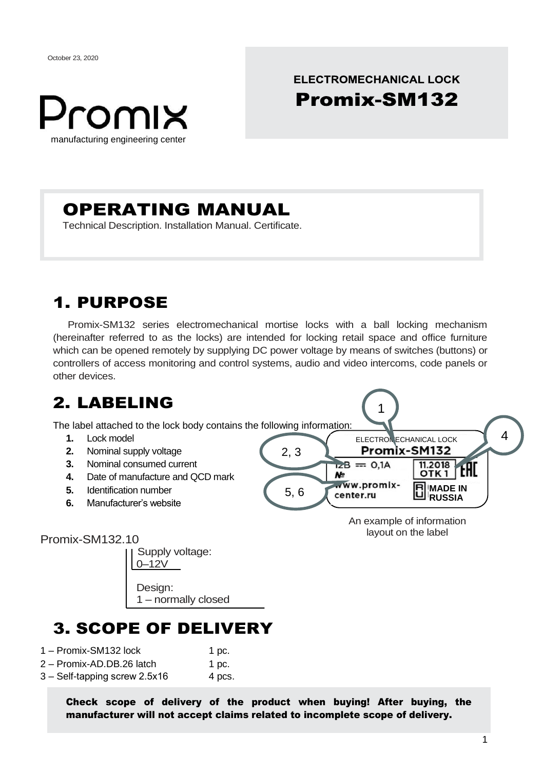October 23, 2020



**ELECTROMECHANICAL LOCK** 

# OPERATING MANUAL

Technical Description. Installation Manual. Certificate.

# 1. PURPOSE

Promix-SM132 series electromechanical mortise locks with a ball locking mechanism (hereinafter referred to as the locks) are intended for locking retail space and office furniture which can be opened remotely by supplying DC power voltage by means of switches (buttons) or controllers of access monitoring and control systems, audio and video intercoms, code panels or other devices.



# 3. SCOPE OF DELIVERY

1 – normally closed

| 1 - Promix-SM132 lock | 1 pc. |
|-----------------------|-------|
|-----------------------|-------|

- 2 Promix-AD.DB.26 latch 1 pc.
- 3 Self-tapping screw 2.5х16 4 pcs.

(countersunk)

Check scope of delivery of the product when buying! After buying, the manufacturer will not accept claims related to incomplete scope of delivery.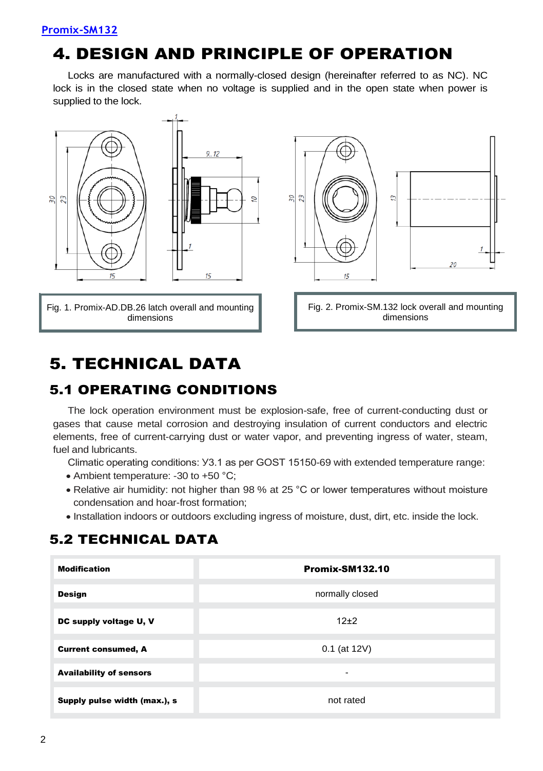## 4. DESIGN AND PRINCIPLE OF OPERATION

Locks are manufactured with a normally-closed design (hereinafter referred to as NC). NC lock is in the closed state when no voltage is supplied and in the open state when power is supplied to the lock.



## 5. TECHNICAL DATA

### 5.1 OPERATING CONDITIONS

The lock operation environment must be explosion-safe, free of current-conducting dust or gases that cause metal corrosion and destroying insulation of current conductors and electric elements, free of current-carrying dust or water vapor, and preventing ingress of water, steam, fuel and lubricants.

Climatic operating conditions: У3.1 as per GOST 15150-69 with extended temperature range:

- Ambient temperature: -30 to +50 °С;
- Relative air humidity: not higher than 98 % at 25 °С or lower temperatures without moisture condensation and hoar-frost formation;
- Installation indoors or outdoors excluding ingress of moisture, dust, dirt, etc. inside the lock.

### 5.2 TECHNICAL DATA

| <b>Modification</b>            | <b>Promix-SM132.10</b> |
|--------------------------------|------------------------|
| <b>Design</b>                  | normally closed        |
| DC supply voltage U, V         | $12+2$                 |
| <b>Current consumed, A</b>     | $0.1$ (at 12V)         |
| <b>Availability of sensors</b> | ۰                      |
| Supply pulse width (max.), s   | not rated              |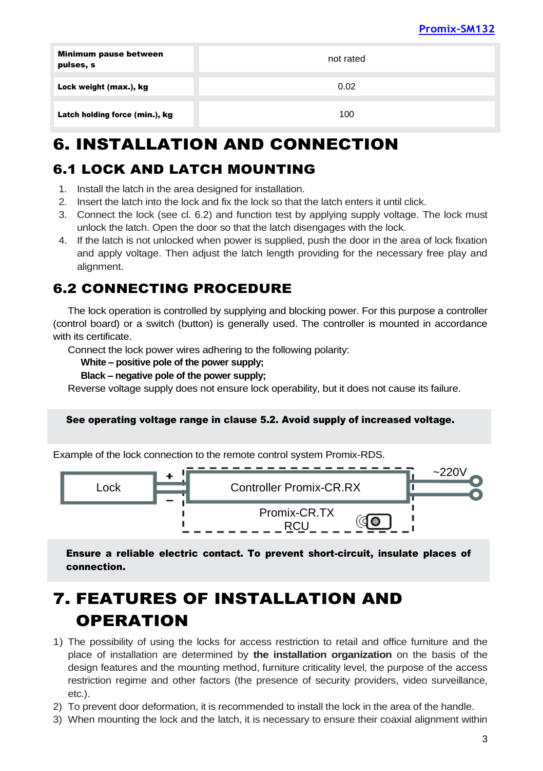| Minimum pause between<br>pulses, s | not rated |
|------------------------------------|-----------|
| Lock weight (max.), kg             | 0.02      |
| Latch holding force (min.), kg     | 100       |

# 6. INSTALLATION AND CONNECTION

### 6.1 LOCK AND LATCH MOUNTING

- 1. Install the latch in the area designed for installation.
- 2. Insert the latch into the lock and fix the lock so that the latch enters it until click.
- 3. Connect the lock (see cl. 6.2) and function test by applying supply voltage. The lock must unlock the latch. Open the door so that the latch disengages with the lock.
- 4. If the latch is not unlocked when power is supplied, push the door in the area of lock fixation and apply voltage. Then adjust the latch length providing for the necessary free play and alignment.

### 6.2 CONNECTING PROCEDURE

The lock operation is controlled by supplying and blocking power. For this purpose a controller (control board) or a switch (button) is generally used. The controller is mounted in accordance with its certificate.

Connect the lock power wires adhering to the following polarity:

#### **White – positive pole of the power supply;**

#### **Black – negative pole of the power supply;**

Reverse voltage supply does not ensure lock operability, but it does not cause its failure.

#### See operating voltage range in clause 5.2. Avoid supply of increased voltage.

Example of the lock connection to the remote control system Promix-RDS.



Ensure a reliable electric contact. To prevent short-circuit, insulate places of connection.

# 7. FEATURES OF INSTALLATION AND **OPERATION**

- 1) The possibility of using the locks for access restriction to retail and office furniture and the place of installation are determined by **the installation organization** on the basis of the design features and the mounting method, furniture criticality level, the purpose of the access restriction regime and other factors (the presence of security providers, video surveillance, etc.).
- 2) To prevent door deformation, it is recommended to install the lock in the area of the handle.
- 3) When mounting the lock and the latch, it is necessary to ensure their coaxial alignment within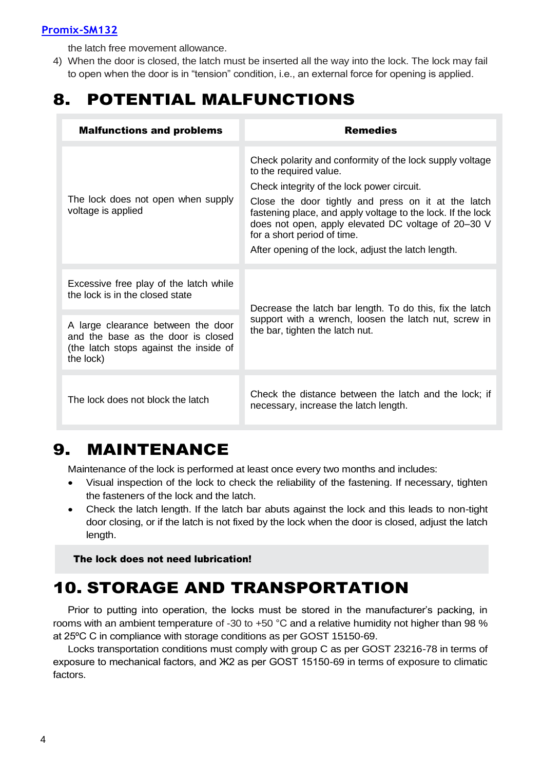#### **[Promix-SM132](http://www.promix-center.ru/elektromehanicheskie-zamki/promix-sm305/)**

the latch free movement allowance.

4) When the door is closed, the latch must be inserted all the way into the lock. The lock may fail to open when the door is in "tension" condition, i.e., an external force for opening is applied.

# 8. POTENTIAL MALFUNCTIONS

| <b>Malfunctions and problems</b>                                                                                                | <b>Remedies</b>                                                                                                                                                                                                                                                                                                                                                                                     |
|---------------------------------------------------------------------------------------------------------------------------------|-----------------------------------------------------------------------------------------------------------------------------------------------------------------------------------------------------------------------------------------------------------------------------------------------------------------------------------------------------------------------------------------------------|
| The lock does not open when supply<br>voltage is applied                                                                        | Check polarity and conformity of the lock supply voltage<br>to the required value.<br>Check integrity of the lock power circuit.<br>Close the door tightly and press on it at the latch<br>fastening place, and apply voltage to the lock. If the lock<br>does not open, apply elevated DC voltage of 20-30 V<br>for a short period of time.<br>After opening of the lock, adjust the latch length. |
|                                                                                                                                 |                                                                                                                                                                                                                                                                                                                                                                                                     |
| Excessive free play of the latch while<br>the lock is in the closed state                                                       | Decrease the latch bar length. To do this, fix the latch<br>support with a wrench, loosen the latch nut, screw in<br>the bar, tighten the latch nut.                                                                                                                                                                                                                                                |
| A large clearance between the door<br>and the base as the door is closed<br>(the latch stops against the inside of<br>the lock) |                                                                                                                                                                                                                                                                                                                                                                                                     |
|                                                                                                                                 |                                                                                                                                                                                                                                                                                                                                                                                                     |
| The lock does not block the latch                                                                                               | Check the distance between the latch and the lock; if<br>necessary, increase the latch length.                                                                                                                                                                                                                                                                                                      |

### 9. MAINTENANCE

Maintenance of the lock is performed at least once every two months and includes:

- Visual inspection of the lock to check the reliability of the fastening. If necessary, tighten the fasteners of the lock and the latch.
- Check the latch length. If the latch bar abuts against the lock and this leads to non-tight door closing, or if the latch is not fixed by the lock when the door is closed, adjust the latch length.

The lock does not need lubrication!

### 10. STORAGE AND TRANSPORTATION

Prior to putting into operation, the locks must be stored in the manufacturer's packing, in rooms with an ambient temperature of -30 to +50 °С and a relative humidity not higher than 98 % at 25ºС С in compliance with storage conditions as per GOST 15150-69.

Locks transportation conditions must comply with group C as per GOST 23216-78 in terms of exposure to mechanical factors, and Ж2 as per GOST 15150-69 in terms of exposure to climatic factors.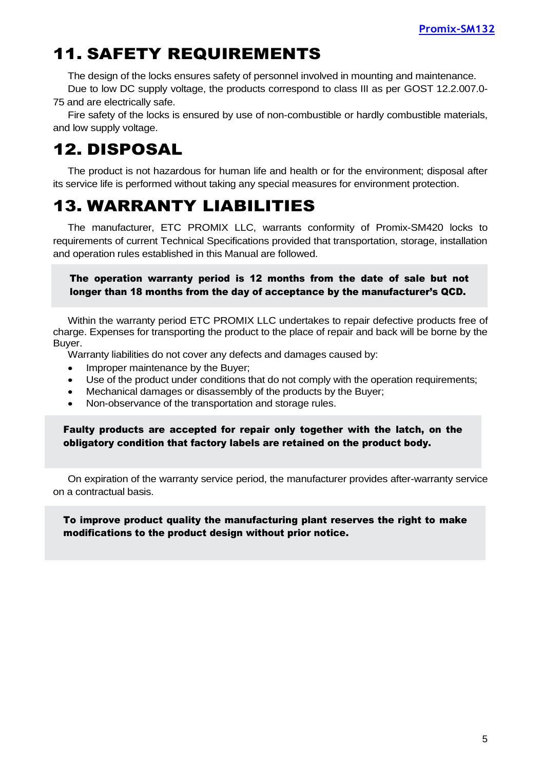## 11. SAFETY REQUIREMENTS

The design of the locks ensures safety of personnel involved in mounting and maintenance. Due to low DC supply voltage, the products correspond to class III as per GOST 12.2.007.0-

75 and are electrically safe.

Fire safety of the locks is ensured by use of non-combustible or hardly combustible materials, and low supply voltage.

# 12. DISPOSAL

The product is not hazardous for human life and health or for the environment; disposal after its service life is performed without taking any special measures for environment protection.

# 13. WARRANTY LIABILITIES

The manufacturer, ETC PROMIX LLC, warrants conformity of Promix-SM420 locks to requirements of current Technical Specifications provided that transportation, storage, installation and operation rules established in this Manual are followed.

The operation warranty period is 12 months from the date of sale but not longer than 18 months from the day of acceptance by the manufacturer's QCD.

Within the warranty period ETC PROMIX LLC undertakes to repair defective products free of charge. Expenses for transporting the product to the place of repair and back will be borne by the Buyer.

Warranty liabilities do not cover any defects and damages caused by:

- Improper maintenance by the Buyer:
- Use of the product under conditions that do not comply with the operation requirements;
- Mechanical damages or disassembly of the products by the Buyer;
- Non-observance of the transportation and storage rules.

Faulty products are accepted for repair only together with the latch, on the obligatory condition that factory labels are retained on the product body.

On expiration of the warranty service period, the manufacturer provides after-warranty service on a contractual basis.

To improve product quality the manufacturing plant reserves the right to make modifications to the product design without prior notice.